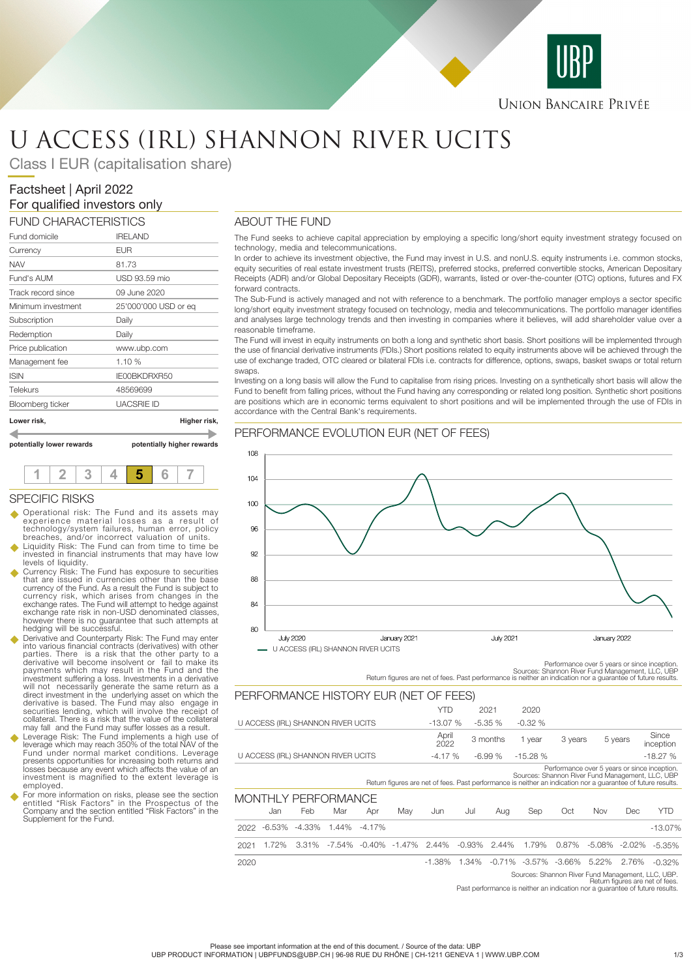

**UNION BANCAIRE PRIVÉE** 

# U ACCESS (IRL) SHANNON RIVER UCITS

Class I EUR (capitalisation share)

# Factsheet | April 2022 For qualified investors only

| www.ubp.com<br>1.10%<br>IE00BKDRXR50<br>48569699<br><b>UACSRIE ID</b> |
|-----------------------------------------------------------------------|
|                                                                       |
|                                                                       |
|                                                                       |
|                                                                       |
|                                                                       |
| Daily                                                                 |
| Daily                                                                 |
| 25'000'000 USD or eq                                                  |
| 09 June 2020                                                          |
| USD 93.59 mio                                                         |
| 81.73                                                                 |
| <b>EUR</b>                                                            |
| <b>IRELAND</b>                                                        |
| FUND CHARACTERISTICS                                                  |

**potentially lower rewards potentially higher rewards**



#### SPECIFIC RISKS

- u Operational risk: The Fund and its assets may experience material losses as a result of technology/system failures, human error, policy breaches, and/or incorrect valuation of units.
- u Liquidity Risk: The Fund can from time to time be invested in financial instruments that may have low levels of liquidity.
- Currency Risk: The Fund has exposure to securities<br>that are issued in currencies other than the base<br>currency of the Fund. As a result the Fund is subject to<br>currency risk, which arises from changes in the<br>exchange rates. exchange rate risk in non-USD denominated classes, however there is no guarantee that such attempts at hedging will be successful.
- u Derivative and Counterparty Risk: The Fund may enter into various financial contracts (derivatives) with other parties. There is a risk that the other party to a<br>derivative will become insolvent or fail to make its<br>payments which may result in the Fund and the<br>investment suffering a loss. Investments in a derivative<br>will not necess derivative is based. The Fund may also engage in securities lending, which will involve the receipt of collateral. There is a risk that the value of the collateral may fall and the Fund may suffer losses as a result.
- Leverage Risk: The Fund implements a high use of leverage which may reach 350% of the total NAV of the Fund under normal market conditions. Leverage presents opportunities for increasing both returns and losses because any event which affects the value of an investment is magnified to the extent leverage is employed.
- u For more information on risks, please see the section entitled "Risk Factors" in the Prospectus of the Company and the section entitled "Risk Factors" in the Supplement for the Fund.

### ABOUT THE FUND

The Fund seeks to achieve capital appreciation by employing a specific long/short equity investment strategy focused on technology, media and telecommunications.

In order to achieve its investment objective, the Fund may invest in U.S. and nonU.S. equity instruments i.e. common stocks, equity securities of real estate investment trusts (REITS), preferred stocks, preferred convertible stocks, American Depositary Receipts (ADR) and/or Global Depositary Receipts (GDR), warrants, listed or over-the-counter (OTC) options, futures and FX forward contracts.

The Sub-Fund is actively managed and not with reference to a benchmark. The portfolio manager employs a sector specific long/short equity investment strategy focused on technology, media and telecommunications. The portfolio manager identifies and analyses large technology trends and then investing in companies where it believes, will add shareholder value over a reasonable timeframe.

The Fund will invest in equity instruments on both a long and synthetic short basis. Short positions will be implemented through the use of financial derivative instruments (FDIs.) Short positions related to equity instruments above will be achieved through the use of exchange traded, OTC cleared or bilateral FDIs i.e. contracts for difference, options, swaps, basket swaps or total return swaps.

Investing on a long basis will allow the Fund to capitalise from rising prices. Investing on a synthetically short basis will allow the Fund to benefit from falling prices, without the Fund having any corresponding or related long position. Synthetic short positions are positions which are in economic terms equivalent to short positions and will be implemented through the use of FDIs in accordance with the Central Bank's requirements.

#### PERFORMANCE EVOLUTION EUR (NET OF FEES)



Performance over 5 years or since inception.<br>Sources: Shannon River Fund Management, LLC, UBP<br>Return figures are net of fees. Past performance is neither an indication nor a guarantee of future results.

|                                    |          |          |       |           | PERFORMANCE HISTORY EUR (NET OF FEES) |               |           |          |                                                                                                                                                                  |                                              |       |                   |                    |
|------------------------------------|----------|----------|-------|-----------|---------------------------------------|---------------|-----------|----------|------------------------------------------------------------------------------------------------------------------------------------------------------------------|----------------------------------------------|-------|-------------------|--------------------|
|                                    |          |          |       |           |                                       | YTD           |           | 2021     | 2020                                                                                                                                                             |                                              |       |                   |                    |
| U ACCESS (IRL) SHANNON RIVER UCITS |          |          |       |           | $-13.07%$                             |               | $-5.35%$  | $-0.32%$ |                                                                                                                                                                  |                                              |       |                   |                    |
|                                    |          |          |       |           |                                       | April<br>2022 |           | 3 months | 1 year                                                                                                                                                           | 3 years                                      |       | 5 years           | Since<br>inception |
| U ACCESS (IRL) SHANNON RIVER UCITS |          |          |       |           |                                       | $-4.17%$      |           | $-6.99%$ | $-15.28%$                                                                                                                                                        |                                              |       |                   | $-18.27%$          |
|                                    |          |          |       |           |                                       |               |           |          | Sources: Shannon River Fund Management, LLC, UBP<br>Return figures are net of fees. Past performance is neither an indication nor a quarantee of future results. | Performance over 5 years or since inception. |       |                   |                    |
| MONTHLY PERFORMANCE                |          |          |       |           |                                       |               |           |          |                                                                                                                                                                  |                                              |       |                   |                    |
|                                    | Jan      | Feb      | Mar   | Apr       | May                                   | Jun           | Jul       | Aug      | Sep                                                                                                                                                              | Oct                                          | Nov   | Dec               | <b>YTD</b>         |
| 2022                               | $-6.53%$ | $-4.33%$ | 1.44% | $-4.17\%$ |                                       |               |           |          |                                                                                                                                                                  |                                              |       |                   | $-13.07%$          |
| 2021                               | 1.72%    | 3.31%    |       |           | -7.54% -0.40% -1.47%                  | 2.44%         | $-0.93\%$ | 2.44%    | 1.79%                                                                                                                                                            | 0.87%                                        |       | $-5.08\% -2.02\%$ | $-5.35%$           |
| 2020                               |          |          |       |           |                                       | $-1.38\%$     | 1.34%     |          | $-0.71\% -3.57\% -3.66\%$                                                                                                                                        |                                              | 5.22% | 2.76%             | $-0.32%$           |
|                                    |          |          |       |           |                                       |               |           |          |                                                                                                                                                                  |                                              |       |                   |                    |

Sources: Shannon River Fund Management, LLC, UBP.<br>Return figures are net of fees.<br>Past performance is neither an indication nor a guarantee of future results.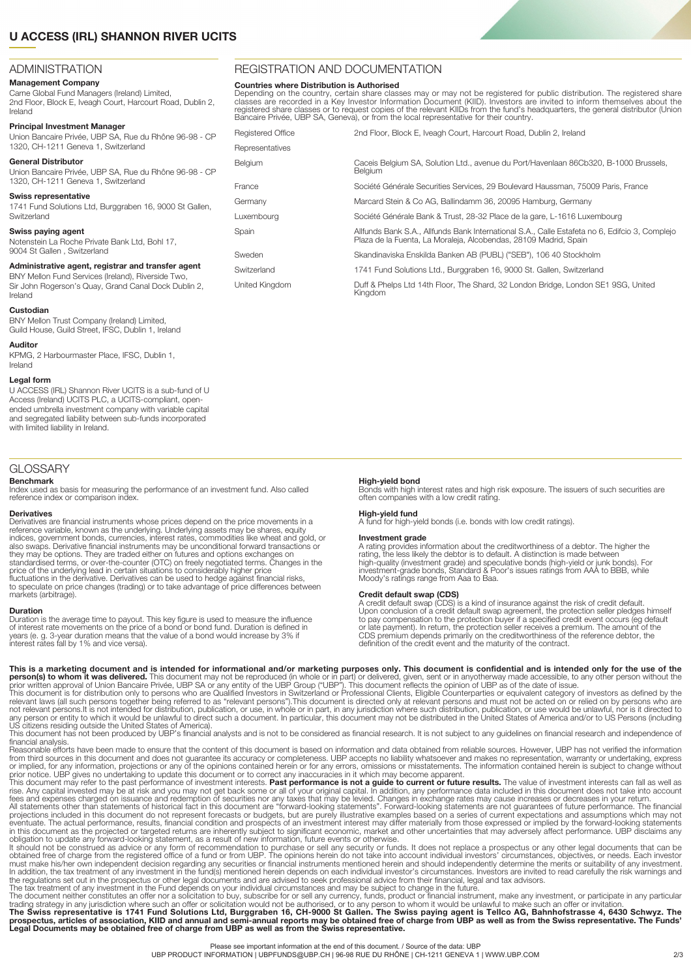## **U ACCESS (IRL) SHANNON RIVER UCITS**

#### ADMINISTRATION

#### **Management Company**

Carne Global Fund Managers (Ireland) Limited, 2nd Floor, Block E, Iveagh Court, Harcourt Road, Dublin 2, Ireland

**Principal Investment Manager**

Union Bancaire Privée, UBP SA, Rue du Rhône 96-98 - CP 1320, CH-1211 Geneva 1, Switzerland

#### **General Distributor** Union Bancaire Privée, UBP SA, Rue du Rhône 96-98 - CP

1320, CH-1211 Geneva 1, Switzerland

#### **Swiss representative**

1741 Fund Solutions Ltd, Burggraben 16, 9000 St Gallen, **Switzerland** 

#### **Swiss paying agent**

Notenstein La Roche Private Bank Ltd, Bohl 17, 9004 St Gallen , Switzerland

#### **Administrative agent, registrar and transfer agent**

BNY Mellon Fund Services (Ireland), Riverside Two, Sir John Rogerson's Quay, Grand Canal Dock Dublin 2, Ireland

#### **Custodian**

BNY Mellon Trust Company (Ireland) Limited, Guild House, Guild Street, IFSC, Dublin 1, Ireland

#### **Auditor**

KPMG, 2 Harbourmaster Place, IFSC, Dublin 1, Ireland

#### **Legal form**

U ACCESS (IRL) Shannon River UCITS is a sub-fund of U Access (Ireland) UCITS PLC, a UCITS-compliant, openended umbrella investment company with variable capital and segregated liability between sub-funds incorporated with limited liability in Ireland.

#### GLOSSARY

**Benchmark** Index used as basis for measuring the performance of an investment fund. Also called reference index or comparison index.

#### **Derivatives**

Derivatives are financial instruments whose prices depend on the price movements in a reference variable, known as the underlying. Underlying assets may be shares, equity indices, government bonds, currencies, interest rates, commodities like wheat and gold, or also swaps. Derivative financial instruments may be unconditional forward transactions or<br>they may be options. They are traded either on futures and options exchanges on<br>standardised terms, or over-the-counter (OTC) on fre fluctuations in the derivative. Derivatives can be used to hedge against financial risks, to speculate on price changes (trading) or to take advantage of price differences between markets (arbitrage).

#### **Duration**

Duration is the average time to payout. This key figure is used to measure the influence of interest rate movements on the price of a bond or bond fund. Duration is defined in years (e. g. 3-year duration means that the value of a bond would increase by 3% if interest rates fall by 1% and vice versa).

REGISTRATION AND DOCUMENTATION

#### **Countries where Distribution is Authorised**

Depending on the country, certain share classes may or may not be registered for public distribution. The registered share<br>classes are recorded in a Key Investor Information Document (KIID). Investors are invited to inform

| <b>Registered Office</b> | 2nd Floor, Block E, Iveagh Court, Harcourt Road, Dublin 2, Ireland                                                                                                 |
|--------------------------|--------------------------------------------------------------------------------------------------------------------------------------------------------------------|
| Representatives          |                                                                                                                                                                    |
| Belgium                  | Caceis Belgium SA, Solution Ltd., avenue du Port/Havenlaan 86Cb320, B-1000 Brussels,<br>Belgium                                                                    |
| France                   | Société Générale Securities Services, 29 Boulevard Haussman, 75009 Paris, France                                                                                   |
| Germany                  | Marcard Stein & Co AG, Ballindamm 36, 20095 Hamburg, Germany                                                                                                       |
| Luxembourg               | Société Générale Bank & Trust, 28-32 Place de la gare, L-1616 Luxembourg                                                                                           |
| Spain                    | Allfunds Bank S.A., Allfunds Bank International S.A., Calle Estafeta no 6, Edifcio 3, Complejo<br>Plaza de la Fuenta, La Moraleja, Alcobendas, 28109 Madrid, Spain |
| Sweden                   | Skandinaviska Enskilda Banken AB (PUBL) ("SEB"), 106 40 Stockholm                                                                                                  |
| Switzerland              | 1741 Fund Solutions Ltd., Burggraben 16, 9000 St. Gallen, Switzerland                                                                                              |
| United Kinadom           | Duff & Phelps Ltd 14th Floor, The Shard, 32 London Bridge, London SE1 9SG, United<br>Kingdom                                                                       |

#### **High-yield bond**

Bonds with high interest rates and high risk exposure. The issuers of such securities are often companies with a low credit rating.

#### **High-yield fund**

A fund for high-yield bonds (i.e. bonds with low credit ratings).

#### **Investment grade**

A rating provides information about the creditworthiness of a debtor. The higher the rating, the less likely the debtor is to default. A distinction is made between high-quality (investment grade) and speculative bonds (high-yield or junk bonds). For investment-grade bonds, Standard & Poor's issues ratings from AAA to BBB, while Moody's ratings range from Aaa to Baa.

#### **Credit default swap (CDS)**

A credit default swap (CDS) is a kind of insurance against the risk of credit default.<br>Upon conclusion of a credit default swap agreement, the protection seller pledges himself<br>to pay compensation to the protection buyer i or late payment). In return, the protection seller receives a premium. The amount of the<br>CDS premium depends primarily on the creditworthiness of the reference debtor, the<br>definition of the credit event and the maturity of

**This is a marketing document and is intended for informational and/or marketing purposes only. This document is confidential and is intended only for the use of the<br>prior written approval of Union Bancaire Privée, UBP SA** 

US citizens residing outside the United States of America).<br>This document has not been produced by UBP's financial analysts and is not to be considered as financial research. It is not subject to any guidelines on financia financial analysis.

Reasonable efforts have been made to ensure that the content of this document is based on information and data obtained from reliable sources. However, UBP has not verified the information from third sources in this document and does not guarantee its accuracy or completeness. UBP accepts no liability whatsoever and makes no representation, warranty or undertaking, express<br>or implied, for any information, pr

prior notice. UBP gives no undertaking to update this document or to correct any inaccuracies in it which may become apparent.<br>This document may refer to the past performance of investment interests. **Past performance is n** 

in this document as the projected or targeted returns are inherently subject to significant economic, market and other uncertainties that may adversely affect performance. UBP disclaims any obligation to update any forward the regulations set out in the prospectus or other legal documents and are advised to seek professional advice from their financial, legal and tax advisors.

The tax treatment of any investment in the Fund depends on your individual circumstances and may be subject to change in the future.<br>The document neither constitutes an offer nor a solicitation to buy, subscribe for or sel

trading strategy in any jurisdiction where such an offer or solicitation would not be authorised, or to any person to whom it would be unlawful to make such an offer or invitation.<br>prospectus, articles of association, KIID

Please see important information at the end of this document. / Source of the data: UBP

UBP PRODUCT INFORMATION | UBPFUNDS@UBP.CH | 96-98 RUE DU RHÔNE | CH-1211 GENEVA 1 | WWW.UBP.COM 2/3